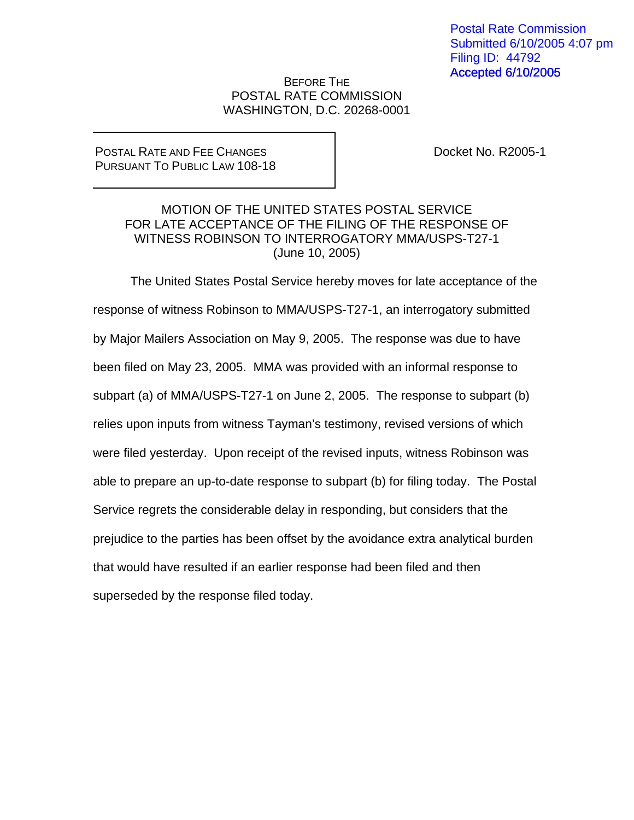## BEFORE THE POSTAL RATE COMMISSION WASHINGTON, D.C. 20268-0001

## POSTAL RATE AND FEE CHANGES PURSUANT TO PUBLIC LAW 108-18

Docket No. R2005-1

## MOTION OF THE UNITED STATES POSTAL SERVICE FOR LATE ACCEPTANCE OF THE FILING OF THE RESPONSE OF WITNESS ROBINSON TO INTERROGATORY MMA/USPS-T27-1 (June 10, 2005)

 The United States Postal Service hereby moves for late acceptance of the response of witness Robinson to MMA/USPS-T27-1, an interrogatory submitted by Major Mailers Association on May 9, 2005. The response was due to have been filed on May 23, 2005. MMA was provided with an informal response to subpart (a) of MMA/USPS-T27-1 on June 2, 2005. The response to subpart (b) relies upon inputs from witness Tayman's testimony, revised versions of which were filed yesterday. Upon receipt of the revised inputs, witness Robinson was able to prepare an up-to-date response to subpart (b) for filing today. The Postal Service regrets the considerable delay in responding, but considers that the prejudice to the parties has been offset by the avoidance extra analytical burden that would have resulted if an earlier response had been filed and then superseded by the response filed today.